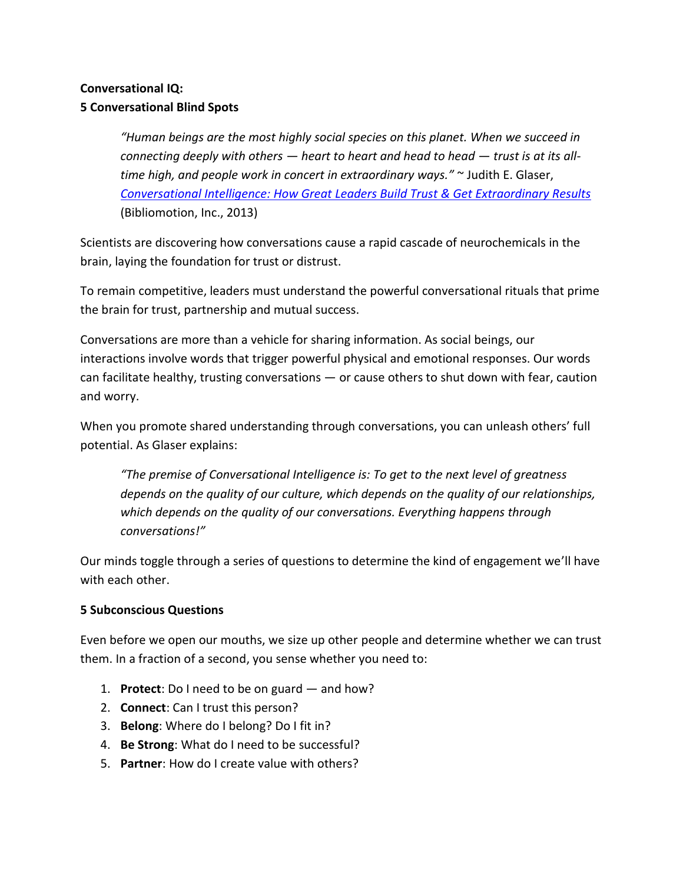# **Conversational IQ: 5 Conversational Blind Spots**

*͞Human beings are the most highly social species on this planet. When we succeed in connecting deeply with others — heart to heart and head to head — trust is at its all*time high, and people work in concert in extraordinary ways.<sup>™</sup> ∼ Judith E. Glaser, *[Conversational Intelligence: How Great Leaders Build Trust & Get Extraordinary Results](http://www.amazon.com/exec/obidos/ASIN/B00ESQAL42/wwwcustomized-20)* (Bibliomotion, Inc., 2013)

Scientists are discovering how conversations cause a rapid cascade of neurochemicals in the brain, laying the foundation for trust or distrust.

To remain competitive, leaders must understand the powerful conversational rituals that prime the brain for trust, partnership and mutual success.

Conversations are more than a vehicle for sharing information. As social beings, our interactions involve words that trigger powerful physical and emotional responses. Our words can facilitate healthy, trusting conversations — or cause others to shut down with fear, caution and worry.

When you promote shared understanding through conversations, you can unleash others' full potential. As Glaser explains:

*͞The premise of Conversational Intelligence is: To get to the next level of greatness depends on the quality of our culture, which depends on the quality of our relationships, which depends on the quality of our conversations. Everything happens through conversations!͟*

Our minds toggle through a series of questions to determine the kind of engagement we'll have with each other.

## **5 Subconscious Questions**

Even before we open our mouths, we size up other people and determine whether we can trust them. In a fraction of a second, you sense whether you need to:

- 1. **Protect**: Do I need to be on guard and how?
- 2. **Connect**: Can I trust this person?
- 3. **Belong**: Where do I belong? Do I fit in?
- 4. **Be Strong**: What do I need to be successful?
- 5. **Partner**: How do I create value with others?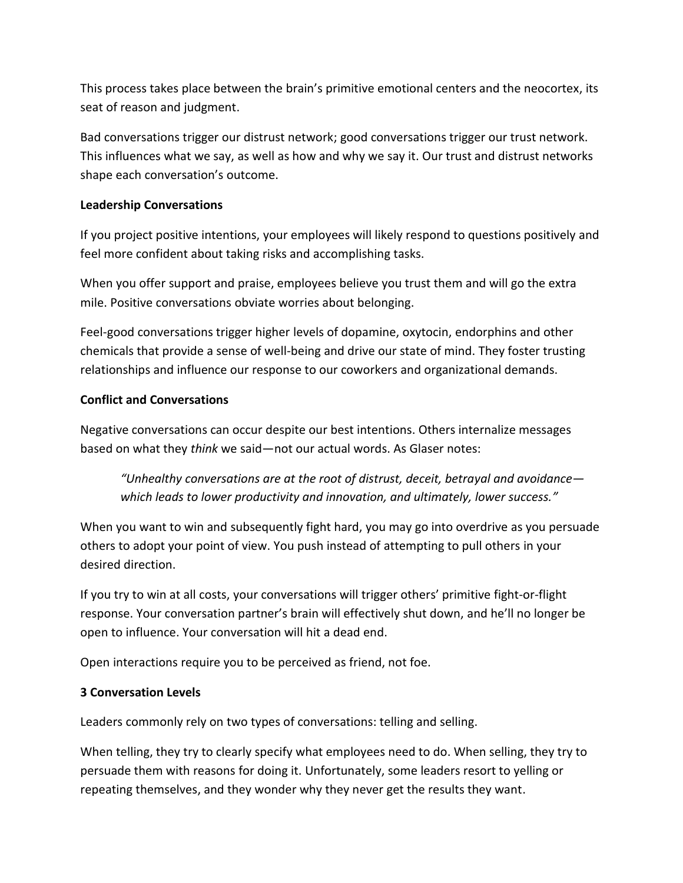This process takes place between the brain's primitive emotional centers and the neocortex, its seat of reason and judgment.

Bad conversations trigger our distrust network; good conversations trigger our trust network. This influences what we say, as well as how and why we say it. Our trust and distrust networks shape each conversation's outcome.

#### **Leadership Conversations**

If you project positive intentions, your employees will likely respond to questions positively and feel more confident about taking risks and accomplishing tasks.

When you offer support and praise, employees believe you trust them and will go the extra mile. Positive conversations obviate worries about belonging.

Feel-good conversations trigger higher levels of dopamine, oxytocin, endorphins and other chemicals that provide a sense of well-being and drive our state of mind. They foster trusting relationships and influence our response to our coworkers and organizational demands.

#### **Conflict and Conversations**

Negative conversations can occur despite our best intentions. Others internalize messages based on what they *think* we said—not our actual words. As Glaser notes:

*͞Unhealthy conversations are at the root of distrust, deceit, betrayal and avoidance which leads to lower productivity and innovation, and ultimately, lower success.͟*

When you want to win and subsequently fight hard, you may go into overdrive as you persuade others to adopt your point of view. You push instead of attempting to pull others in your desired direction.

If you try to win at all costs, your conversations will trigger others' primitive fight-or-flight response. Your conversation partner's brain will effectively shut down, and he'll no longer be open to influence. Your conversation will hit a dead end.

Open interactions require you to be perceived as friend, not foe.

### **3 Conversation Levels**

Leaders commonly rely on two types of conversations: telling and selling.

When telling, they try to clearly specify what employees need to do. When selling, they try to persuade them with reasons for doing it. Unfortunately, some leaders resort to yelling or repeating themselves, and they wonder why they never get the results they want.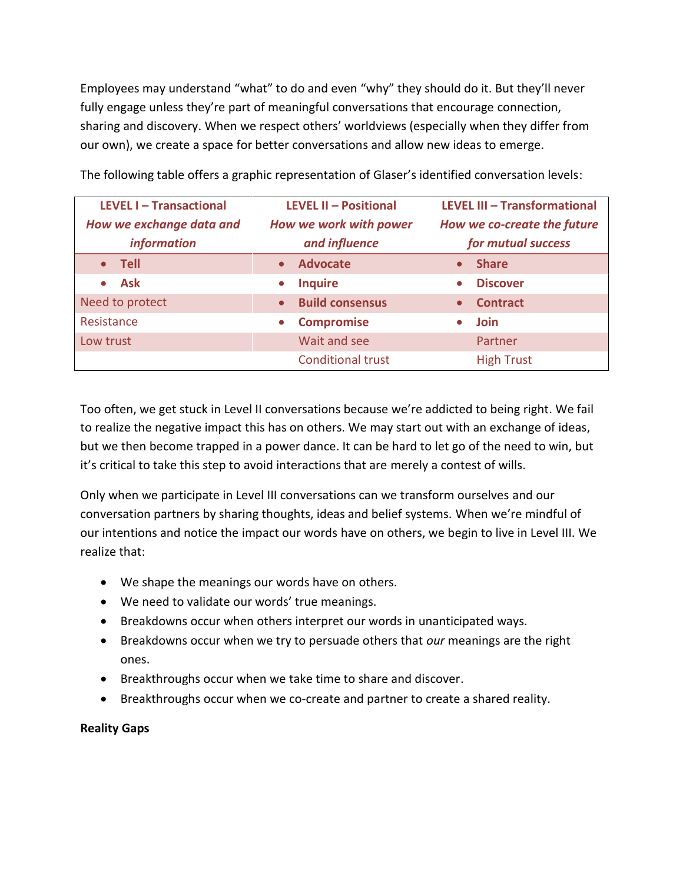Employees may understand "what" to do and even "why" they should do it. But they'll never fully engage unless they're part of meaningful conversations that encourage connection, sharing and discovery. When we respect others' worldviews (especially when they differ from our own), we create a space for better conversations and allow new ideas to emerge.

| LEVEL I - Transactional<br>How we exchange data and<br><i>information</i> | <b>LEVEL II - Positional</b><br>How we work with power<br>and influence | LEVEL III - Transformational<br>How we co-create the future<br>for mutual success |
|---------------------------------------------------------------------------|-------------------------------------------------------------------------|-----------------------------------------------------------------------------------|
| Tell                                                                      | <b>Advocate</b><br>$\bullet$                                            | <b>Share</b><br>$\bullet$                                                         |
| <b>Ask</b>                                                                | <b>Inquire</b><br>$\bullet$                                             | <b>Discover</b><br>$\bullet$                                                      |
| Need to protect                                                           | <b>Build consensus</b><br>$\bullet$                                     | <b>Contract</b><br>$\bullet$                                                      |
| Resistance                                                                | <b>Compromise</b><br>$\bullet$                                          | <b>Join</b><br>$\bullet$                                                          |
| Low trust                                                                 | Wait and see                                                            | Partner                                                                           |
|                                                                           | <b>Conditional trust</b>                                                | <b>High Trust</b>                                                                 |

The following table offers a graphic representation of Glaser's identified conversation levels:

Too often, we get stuck in Level II conversations because we're addicted to being right. We fail to realize the negative impact this has on others. We may start out with an exchange of ideas, but we then become trapped in a power dance. It can be hard to let go of the need to win, but it's critical to take this step to avoid interactions that are merely a contest of wills.

Only when we participate in Level III conversations can we transform ourselves and our conversation partners by sharing thoughts, ideas and belief systems. When we're mindful of our intentions and notice the impact our words have on others, we begin to live in Level III. We realize that:

- We shape the meanings our words have on others.
- We need to validate our words' true meanings.
- Breakdowns occur when others interpret our words in unanticipated ways.
- Breakdowns occur when we try to persuade others that *our* meanings are the right ones.
- Breakthroughs occur when we take time to share and discover.
- Breakthroughs occur when we co-create and partner to create a shared reality.

### **Reality Gaps**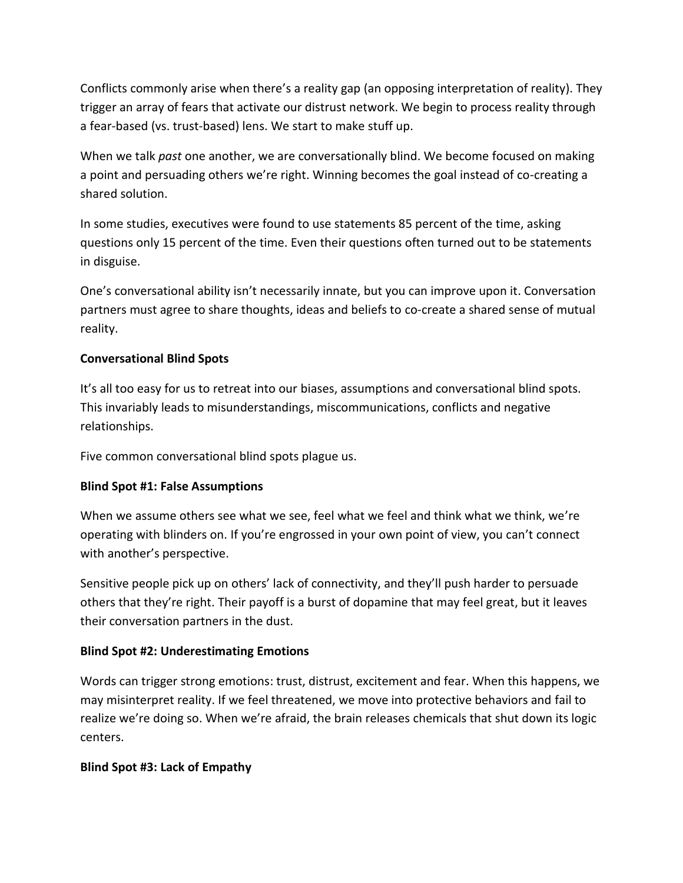Conflicts commonly arise when there's a reality gap (an opposing interpretation of reality). They trigger an array of fears that activate our distrust network. We begin to process reality through a fear-based (vs. trust-based) lens. We start to make stuff up.

When we talk *past* one another, we are conversationally blind. We become focused on making a point and persuading others we're right. Winning becomes the goal instead of co-creating a shared solution.

In some studies, executives were found to use statements 85 percent of the time, asking questions only 15 percent of the time. Even their questions often turned out to be statements in disguise.

One's conversational ability isn't necessarily innate, but you can improve upon it. Conversation partners must agree to share thoughts, ideas and beliefs to co-create a shared sense of mutual reality.

### **Conversational Blind Spots**

It's all too easy for us to retreat into our biases, assumptions and conversational blind spots. This invariably leads to misunderstandings, miscommunications, conflicts and negative relationships.

Five common conversational blind spots plague us.

### **Blind Spot #1: False Assumptions**

When we assume others see what we see, feel what we feel and think what we think, we're operating with blinders on. If you're engrossed in your own point of view, you can't connect with another's perspective.

Sensitive people pick up on others' lack of connectivity, and they'll push harder to persuade others that they're right. Their payoff is a burst of dopamine that may feel great, but it leaves their conversation partners in the dust.

### **Blind Spot #2: Underestimating Emotions**

Words can trigger strong emotions: trust, distrust, excitement and fear. When this happens, we may misinterpret reality. If we feel threatened, we move into protective behaviors and fail to realize we're doing so. When we're afraid, the brain releases chemicals that shut down its logic centers.

### **Blind Spot #3: Lack of Empathy**